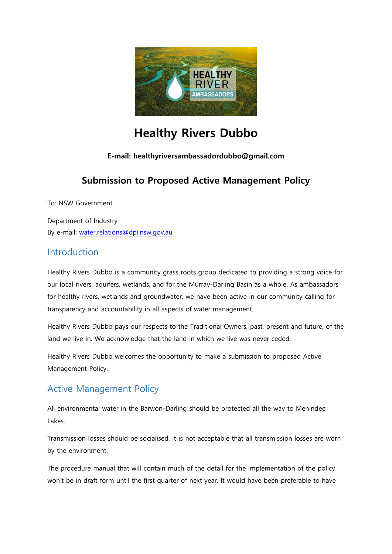

# **Healthy Rivers Dubbo**

#### **E-mail: healthyriversambassadordubbo@gmail.com**

## **Submission to Proposed Active Management Policy**

To: NSW Government

Department of Industry By e-mail: [water.relations@dpi.nsw.gov.au](mailto:water.relations@dpi.nsw.gov.au)

#### Introduction

Healthy Rivers Dubbo is a community grass roots group dedicated to providing a strong voice for our local rivers, aquifers, wetlands, and for the Murray-Darling Basin as a whole. As ambassadors for healthy rivers, wetlands and groundwater, we have been active in our community calling for transparency and accountability in all aspects of water management.

Healthy Rivers Dubbo pays our respects to the Traditional Owners, past, present and future, of the land we live in. We acknowledge that the land in which we live was never ceded.

Healthy Rivers Dubbo welcomes the opportunity to make a submission to proposed Active Management Policy.

### Active Management Policy

All environmental water in the Barwon-Darling should be protected all the way to Menindee Lakes.

Transmission losses should be socialised, it is not acceptable that all transmission losses are worn by the environment.

The procedure manual that will contain much of the detail for the implementation of the policy won't be in draft form until the first quarter of next year. It would have been preferable to have